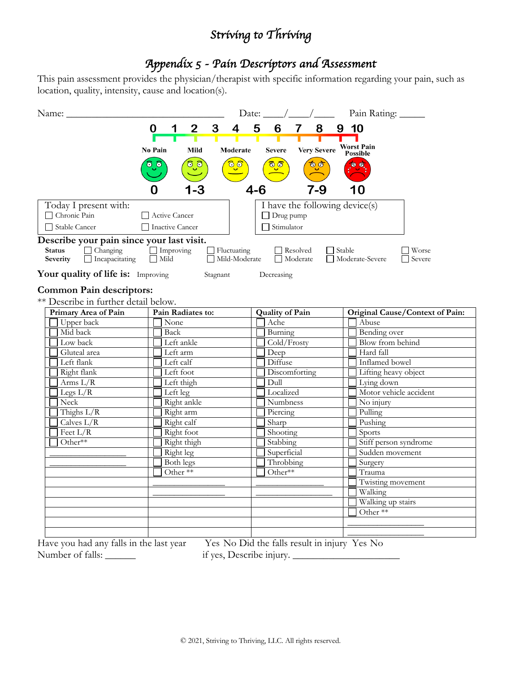## *Striving to Thriving*

## *Appendix 5 - Pain Descriptors and Assessment*

This pain assessment provides the physician/therapist with specific information regarding your pain, such as location, quality, intensity, cause and location(s).

| Name:                                     |                     |                       | Date: $\_\_\_\_\_\_\_\_\_\_\_\_\_\_\_\_\_\_\_\_$ |                                | Pain Rating:                     |                 |  |  |  |
|-------------------------------------------|---------------------|-----------------------|--------------------------------------------------|--------------------------------|----------------------------------|-----------------|--|--|--|
|                                           | $\overline{2}$<br>0 | 3<br>$\boldsymbol{4}$ | 5<br>6<br>$\overline{\mathbf{7}}$                | 8                              | 9 10                             |                 |  |  |  |
|                                           |                     | Τ                     | T                                                |                                |                                  |                 |  |  |  |
|                                           | No Pain<br>Mild     | Moderate              | <b>Severe</b>                                    | <b>Very Severe</b>             | <b>Worst Pain</b><br>Possible    |                 |  |  |  |
|                                           | ್ರೌ                 | <mark>ି୍ତି</mark>     | <mark>್ರೌ</mark>                                 | ಠ್ರಿಕ                          |                                  |                 |  |  |  |
|                                           |                     |                       |                                                  |                                |                                  |                 |  |  |  |
|                                           | -3                  |                       | $4 - 6$                                          | $7-9$                          |                                  |                 |  |  |  |
|                                           |                     |                       |                                                  |                                |                                  |                 |  |  |  |
| Today I present with:                     |                     |                       |                                                  | I have the following device(s) |                                  |                 |  |  |  |
| Chronic Pain                              | Active Cancer       |                       | $\Box$ Drug pump                                 |                                |                                  |                 |  |  |  |
| $\Box$ Stable Cancer                      | □ Inactive Cancer   |                       | $\Box$ Stimulator                                |                                |                                  |                 |  |  |  |
| Describe your pain since your last visit. |                     |                       |                                                  |                                |                                  |                 |  |  |  |
| $\Box$ Changing<br><b>Status</b>          | $\Box$ Improving    | $\Box$ Fluctuating    | Resolved                                         | $\Box$ Stable                  |                                  | $\exists$ Worse |  |  |  |
| $\Box$ Incapacitating<br>Severity         | $\Box$ Mild         | Mild-Moderate         | Moderate                                         |                                | □ Moderate-Severe                | $\Box$ Severe   |  |  |  |
| Your quality of life is: Improving        |                     | Stagnant              | Decreasing                                       |                                |                                  |                 |  |  |  |
|                                           |                     |                       |                                                  |                                |                                  |                 |  |  |  |
| <b>Common Pain descriptors:</b>           |                     |                       |                                                  |                                |                                  |                 |  |  |  |
| ** Describe in further detail below.      |                     |                       |                                                  |                                |                                  |                 |  |  |  |
| Primary Area of Pain                      | Pain Radiates to:   |                       | <b>Quality of Pain</b><br>Ache                   |                                | Original Cause/Context of Pain:  |                 |  |  |  |
| Upper back                                |                     | None                  |                                                  |                                | Abuse                            |                 |  |  |  |
| Mid back                                  | Back                |                       | Burning                                          |                                | Bending over<br>Blow from behind |                 |  |  |  |
| Low back                                  | Left ankle          |                       | Cold/Frosty                                      |                                |                                  |                 |  |  |  |
| Gluteal area                              | Left arm            |                       | Deep                                             |                                | Hard fall                        |                 |  |  |  |
| Left flank                                | Left calf           |                       | Diffuse                                          |                                | Inflamed bowel                   |                 |  |  |  |
| Right flank                               | Left foot           |                       | Discomforting                                    |                                | Lifting heavy object             |                 |  |  |  |
| Arms $L/R$                                | Left thigh          |                       | Dull                                             |                                | Lying down                       |                 |  |  |  |
| Legs $L/R$                                | Left leg            |                       | Localized                                        |                                | Motor vehicle accident           |                 |  |  |  |
| Neck                                      | Right ankle         |                       | <b>Numbness</b>                                  |                                | No injury                        |                 |  |  |  |
| Thighs $L/R$                              | Right arm           |                       | Piercing                                         |                                | Pulling                          |                 |  |  |  |
| Calves $L/R$                              | Right calf          |                       | Sharp                                            |                                | Pushing                          |                 |  |  |  |
| Feet $L/R$                                | Right foot          |                       | Shooting<br>Stabbing                             |                                | Sports                           |                 |  |  |  |
| Other**                                   |                     | Right thigh           |                                                  |                                | Stiff person syndrome            |                 |  |  |  |
|                                           | Right leg           |                       | Superficial                                      |                                | Sudden movement                  |                 |  |  |  |
|                                           | <b>Both legs</b>    |                       | Throbbing                                        |                                | Surgery                          |                 |  |  |  |
|                                           | Other **            |                       | Other**                                          |                                | Trauma                           |                 |  |  |  |
|                                           |                     |                       |                                                  |                                | Twisting movement                |                 |  |  |  |
|                                           |                     |                       |                                                  |                                | Walking                          |                 |  |  |  |
|                                           |                     |                       |                                                  |                                | Walking up stairs                |                 |  |  |  |
|                                           |                     |                       |                                                  |                                | Other **                         |                 |  |  |  |
|                                           |                     |                       |                                                  |                                |                                  |                 |  |  |  |
|                                           |                     |                       |                                                  |                                |                                  |                 |  |  |  |

Have you had any falls in the last year Yes No Did the falls result in injury Yes No Number of falls: \_\_\_\_\_\_\_ if yes, Describe injury. \_\_\_\_\_\_\_\_\_\_\_\_\_\_\_\_\_\_\_\_\_\_\_\_\_\_\_\_\_\_